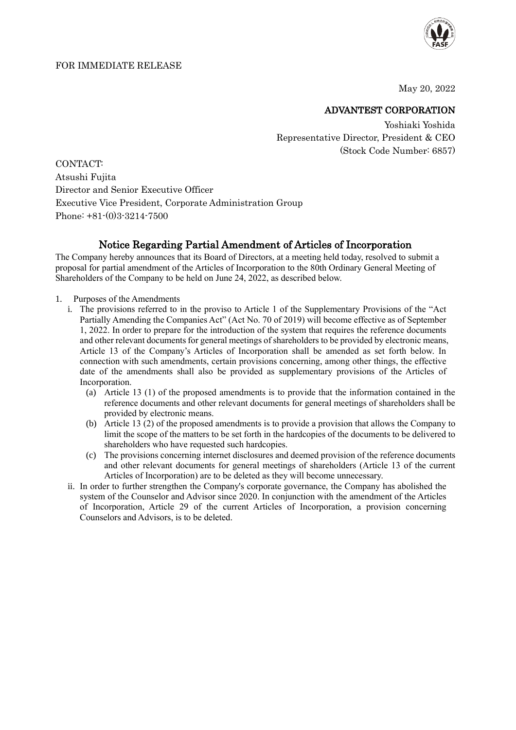

May 20, 2022

## ADVANTEST CORPORATION

Yoshiaki Yoshida Representative Director, President & CEO (Stock Code Number: 6857)

CONTACT: Atsushi Fujita Director and Senior Executive Officer Executive Vice President, Corporate Administration Group Phone: +81-(0)3-3214-7500

## Notice Regarding Partial Amendment of Articles of Incorporation

The Company hereby announces that its Board of Directors, at a meeting held today, resolved to submit a proposal for partial amendment of the Articles of Incorporation to the 80th Ordinary General Meeting of Shareholders of the Company to be held on June 24, 2022, as described below.

- 1. Purposes of the Amendments
	- i. The provisions referred to in the proviso to Article 1 of the Supplementary Provisions of the "Act Partially Amending the Companies Act" (Act No. 70 of 2019) will become effective as of September 1, 2022. In order to prepare for the introduction of the system that requires the reference documents and other relevant documents for general meetings of shareholders to be provided by electronic means, Article 13 of the Company's Articles of Incorporation shall be amended as set forth below. In connection with such amendments, certain provisions concerning, among other things, the effective date of the amendments shall also be provided as supplementary provisions of the Articles of Incorporation.
		- (a) Article 13 (1) of the proposed amendments is to provide that the information contained in the reference documents and other relevant documents for general meetings of shareholders shall be provided by electronic means.
		- (b) Article 13 (2) of the proposed amendments is to provide a provision that allows the Company to limit the scope of the matters to be set forth in the hardcopies of the documents to be delivered to shareholders who have requested such hardcopies.
		- (c) The provisions concerning internet disclosures and deemed provision of the reference documents and other relevant documents for general meetings of shareholders (Article 13 of the current Articles of Incorporation) are to be deleted as they will become unnecessary.
	- ii. In order to further strengthen the Company's corporate governance, the Company has abolished the system of the Counselor and Advisor since 2020. In conjunction with the amendment of the Articles of Incorporation, Article 29 of the current Articles of Incorporation, a provision concerning Counselors and Advisors, is to be deleted.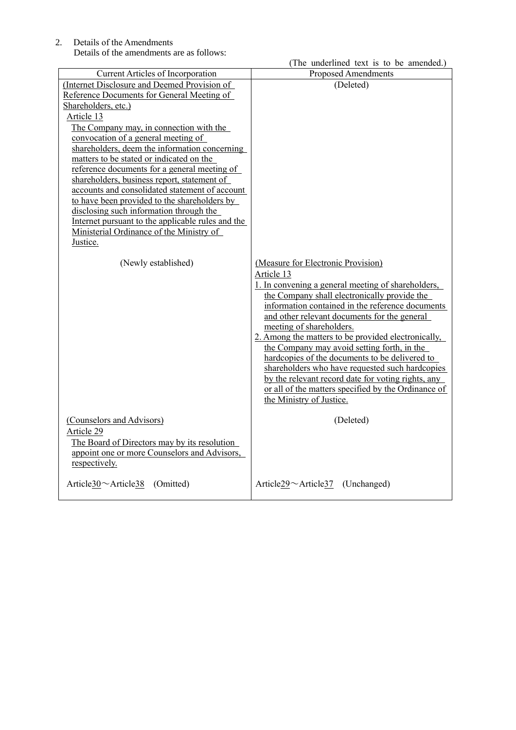2. Details of the Amendments Details of the amendments are as follows:

|                                                   | (The underlined text is to be amended.)                        |
|---------------------------------------------------|----------------------------------------------------------------|
| Current Articles of Incorporation                 | <b>Proposed Amendments</b>                                     |
| (Internet Disclosure and Deemed Provision of      | (Deleted)                                                      |
| Reference Documents for General Meeting of        |                                                                |
| Shareholders, etc.)                               |                                                                |
| Article 13                                        |                                                                |
| The Company may, in connection with the           |                                                                |
| convocation of a general meeting of               |                                                                |
| shareholders, deem the information concerning     |                                                                |
| matters to be stated or indicated on the          |                                                                |
| reference documents for a general meeting of      |                                                                |
| shareholders, business report, statement of       |                                                                |
| accounts and consolidated statement of account    |                                                                |
| to have been provided to the shareholders by      |                                                                |
| disclosing such information through the           |                                                                |
| Internet pursuant to the applicable rules and the |                                                                |
| Ministerial Ordinance of the Ministry of          |                                                                |
| Justice.                                          |                                                                |
|                                                   |                                                                |
| (Newly established)                               | (Measure for Electronic Provision)                             |
|                                                   | Article 13                                                     |
|                                                   | 1. In convening a general meeting of shareholders,             |
|                                                   | the Company shall electronically provide the                   |
|                                                   | information contained in the reference documents               |
|                                                   | and other relevant documents for the general                   |
|                                                   | meeting of shareholders.                                       |
|                                                   | 2. Among the matters to be provided electronically,            |
|                                                   | the Company may avoid setting forth, in the                    |
|                                                   | hardcopies of the documents to be delivered to                 |
|                                                   | shareholders who have requested such hardcopies                |
|                                                   | by the relevant record date for voting rights, any             |
|                                                   | or all of the matters specified by the Ordinance of            |
|                                                   | the Ministry of Justice.                                       |
| (Counselors and Advisors)                         | (Deleted)                                                      |
| Article 29                                        |                                                                |
|                                                   |                                                                |
| The Board of Directors may by its resolution      |                                                                |
| appoint one or more Counselors and Advisors,      |                                                                |
| respectively.                                     |                                                                |
| Article $30$ $\sim$ Article 38<br>(Omitted)       | Article <sub>29</sub> $\sim$ Article <sub>37</sub> (Unchanged) |
|                                                   |                                                                |
|                                                   |                                                                |